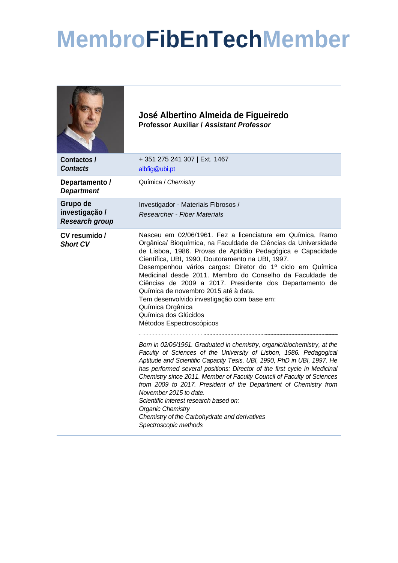## **MembroFibEnTechMember**

|                                                     | José Albertino Almeida de Figueiredo<br>Professor Auxiliar / Assistant Professor                                                                                                                                                                                                                                                                                                                                                                                                                                                                                                                                               |
|-----------------------------------------------------|--------------------------------------------------------------------------------------------------------------------------------------------------------------------------------------------------------------------------------------------------------------------------------------------------------------------------------------------------------------------------------------------------------------------------------------------------------------------------------------------------------------------------------------------------------------------------------------------------------------------------------|
| <b>Contactos /</b><br><b>Contacts</b>               | +351 275 241 307   Ext. 1467<br>albfig@ubi.pt                                                                                                                                                                                                                                                                                                                                                                                                                                                                                                                                                                                  |
| Departamento /<br><b>Department</b>                 | Química / Chemistry                                                                                                                                                                                                                                                                                                                                                                                                                                                                                                                                                                                                            |
| Grupo de<br>investigação /<br><b>Research group</b> | Investigador - Materiais Fibrosos /<br>Researcher - Fiber Materials                                                                                                                                                                                                                                                                                                                                                                                                                                                                                                                                                            |
| CV resumido /<br><b>Short CV</b>                    | Nasceu em 02/06/1961. Fez a licenciatura em Química, Ramo<br>Orgânica/ Bioquímica, na Faculdade de Ciências da Universidade<br>de Lisboa, 1986. Provas de Aptidão Pedagógica e Capacidade<br>Científica, UBI, 1990, Doutoramento na UBI, 1997.<br>Desempenhou vários cargos: Diretor do 1º ciclo em Química<br>Medicinal desde 2011. Membro do Conselho da Faculdade de<br>Ciências de 2009 a 2017. Presidente dos Departamento de<br>Química de novembro 2015 até à data.<br>Tem desenvolvido investigação com base em:<br>Química Orgânica<br>Química dos Glúcidos<br>Métodos Espectroscópicos                               |
|                                                     | Born in 02/06/1961. Graduated in chemistry, organic/biochemistry, at the<br>Faculty of Sciences of the University of Lisbon, 1986. Pedagogical<br>Aptitude and Scientific Capacity Tesis, UBI, 1990, PhD in UBI, 1997. He<br>has performed several positions: Director of the first cycle in Medicinal<br>Chemistry since 2011. Member of Faculty Council of Faculty of Sciences<br>from 2009 to 2017. President of the Department of Chemistry from<br>November 2015 to date.<br>Scientific interest research based on:<br><b>Organic Chemistry</b><br>Chemistry of the Carbohydrate and derivatives<br>Spectroscopic methods |